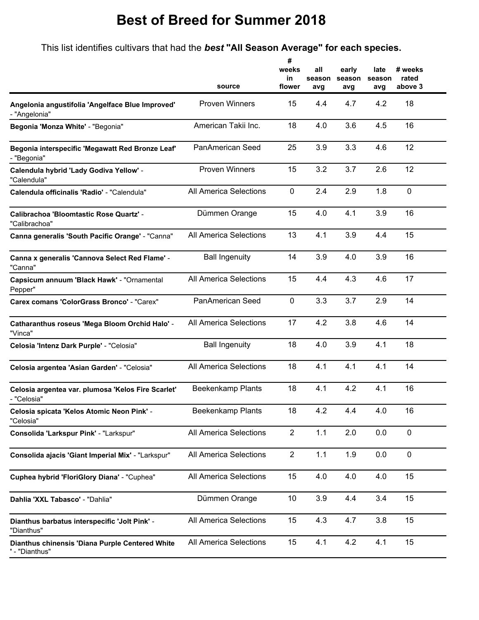## **Best of Breed for Summer 2018**

This list identifies cultivars that had the *best* **"All Season Average" for each species.**

**#**

|                                                                   | source                        | weeks<br>in<br>flower | all<br>season<br>avg | early<br>season<br>avg | late<br>season<br>avg | # weeks<br>rated<br>above 3 |
|-------------------------------------------------------------------|-------------------------------|-----------------------|----------------------|------------------------|-----------------------|-----------------------------|
| Angelonia angustifolia 'Angelface Blue Improved'<br>- "Angelonia" | <b>Proven Winners</b>         | 15                    | 4.4                  | 4.7                    | 4.2                   | 18                          |
| Begonia 'Monza White' - "Begonia"                                 | American Takii Inc.           | 18                    | 4.0                  | 3.6                    | 4.5                   | 16                          |
| Begonia interspecific 'Megawatt Red Bronze Leaf'<br>- "Begonia"   | PanAmerican Seed              | 25                    | 3.9                  | 3.3                    | 4.6                   | 12                          |
| Calendula hybrid 'Lady Godiva Yellow' -<br>"Calendula"            | <b>Proven Winners</b>         | 15                    | 3.2                  | 3.7                    | 2.6                   | 12                          |
| Calendula officinalis 'Radio' - "Calendula"                       | <b>All America Selections</b> | $\mathbf 0$           | 2.4                  | 2.9                    | 1.8                   | $\mathbf 0$                 |
| Calibrachoa 'Bloomtastic Rose Quartz' -<br>"Calibrachoa"          | Dümmen Orange                 | 15                    | 4.0                  | 4.1                    | 3.9                   | 16                          |
| Canna generalis 'South Pacific Orange' - "Canna"                  | All America Selections        | 13                    | 4.1                  | 3.9                    | 4.4                   | 15                          |
| Canna x generalis 'Cannova Select Red Flame' -<br>"Canna"         | <b>Ball Ingenuity</b>         | 14                    | 3.9                  | 4.0                    | 3.9                   | 16                          |
| Capsicum annuum 'Black Hawk' - "Ornamental<br>Pepper"             | <b>All America Selections</b> | 15                    | 4.4                  | 4.3                    | 4.6                   | 17                          |
| Carex comans 'ColorGrass Bronco' - "Carex"                        | PanAmerican Seed              | $\mathbf 0$           | 3.3                  | 3.7                    | 2.9                   | 14                          |
| Catharanthus roseus 'Mega Bloom Orchid Halo' -<br>"Vinca"         | <b>All America Selections</b> | 17                    | 4.2                  | 3.8                    | 4.6                   | 14                          |
| Celosia 'Intenz Dark Purple' - "Celosia"                          | <b>Ball Ingenuity</b>         | 18                    | 4.0                  | 3.9                    | 4.1                   | 18                          |
| Celosia argentea 'Asian Garden' - "Celosia"                       | All America Selections        | 18                    | 4.1                  | 4.1                    | 4.1                   | 14                          |
| Celosia argentea var. plumosa 'Kelos Fire Scarlet'<br>- "Celosia" | Beekenkamp Plants             | 18                    | 4.1                  | 4.2                    | 4.1                   | 16                          |
| Celosia spicata 'Kelos Atomic Neon Pink' -<br>"Celosia"           | Beekenkamp Plants             | 18                    | 4.2                  | 4.4                    | 4.0                   | 16                          |
| Consolida 'Larkspur Pink' - "Larkspur"                            | All America Selections        | $\overline{2}$        | 1.1                  | 2.0                    | 0.0                   | $\pmb{0}$                   |
| Consolida ajacis 'Giant Imperial Mix' - "Larkspur"                | All America Selections        | $\overline{2}$        | 1.1                  | 1.9                    | 0.0                   | $\pmb{0}$                   |
| Cuphea hybrid 'FloriGlory Diana' - "Cuphea"                       | <b>All America Selections</b> | 15                    | 4.0                  | 4.0                    | 4.0                   | 15                          |
| Dahlia 'XXL Tabasco' - "Dahlia"                                   | Dümmen Orange                 | 10                    | 3.9                  | 4.4                    | 3.4                   | 15                          |
| Dianthus barbatus interspecific 'Jolt Pink' -<br>"Dianthus"       | <b>All America Selections</b> | 15                    | 4.3                  | 4.7                    | 3.8                   | 15                          |
| Dianthus chinensis 'Diana Purple Centered White<br>- "Dianthus"   | All America Selections        | 15                    | 4.1                  | 4.2                    | 4.1                   | 15                          |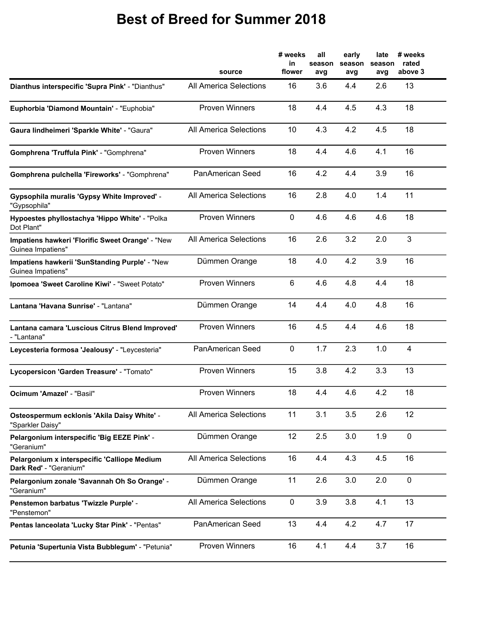## **Best of Breed for Summer 2018**

|                                                                        | source                        | # weeks<br>in<br>flower | all<br>season<br>avg | early<br>season<br>avg | late<br>season<br>avg | # weeks<br>rated<br>above 3 |
|------------------------------------------------------------------------|-------------------------------|-------------------------|----------------------|------------------------|-----------------------|-----------------------------|
| Dianthus interspecific 'Supra Pink' - "Dianthus"                       | <b>All America Selections</b> | 16                      | 3.6                  | 4.4                    | 2.6                   | 13                          |
| Euphorbia 'Diamond Mountain' - "Euphobia"                              | <b>Proven Winners</b>         | 18                      | 4.4                  | 4.5                    | 4.3                   | 18                          |
| Gaura lindheimeri 'Sparkle White' - "Gaura"                            | <b>All America Selections</b> | 10                      | 4.3                  | 4.2                    | 4.5                   | 18                          |
| Gomphrena 'Truffula Pink' - "Gomphrena"                                | <b>Proven Winners</b>         | 18                      | 4.4                  | 4.6                    | 4.1                   | 16                          |
| Gomphrena pulchella 'Fireworks' - "Gomphrena"                          | PanAmerican Seed              | 16                      | 4.2                  | 4.4                    | 3.9                   | 16                          |
| Gypsophila muralis 'Gypsy White Improved' -<br>"Gypsophila"            | <b>All America Selections</b> | 16                      | 2.8                  | 4.0                    | 1.4                   | 11                          |
| Hypoestes phyllostachya 'Hippo White' - "Polka<br>Dot Plant"           | <b>Proven Winners</b>         | $\mathbf 0$             | 4.6                  | 4.6                    | 4.6                   | 18                          |
| Impatiens hawkeri 'Florific Sweet Orange' - "New<br>Guinea Impatiens"  | <b>All America Selections</b> | 16                      | 2.6                  | 3.2                    | 2.0                   | 3                           |
| Impatiens hawkerii 'SunStanding Purple' - "New<br>Guinea Impatiens"    | Dümmen Orange                 | 18                      | 4.0                  | 4.2                    | 3.9                   | 16                          |
| Ipomoea 'Sweet Caroline Kiwi' - "Sweet Potato"                         | <b>Proven Winners</b>         | 6                       | 4.6                  | 4.8                    | 4.4                   | 18                          |
| Lantana 'Havana Sunrise' - "Lantana"                                   | Dümmen Orange                 | 14                      | 4.4                  | 4.0                    | 4.8                   | 16                          |
| Lantana camara 'Luscious Citrus Blend Improved'<br>- "Lantana"         | <b>Proven Winners</b>         | 16                      | 4.5                  | 4.4                    | 4.6                   | 18                          |
| Leycesteria formosa 'Jealousy' - "Leycesteria"                         | PanAmerican Seed              | $\mathbf 0$             | 1.7                  | 2.3                    | 1.0                   | $\overline{4}$              |
| Lycopersicon 'Garden Treasure' - "Tomato"                              | <b>Proven Winners</b>         | 15                      | 3.8                  | 4.2                    | 3.3                   | 13                          |
| Ocimum 'Amazel' - "Basil"                                              | <b>Proven Winners</b>         | 18                      | 4.4                  | 4.6                    | 4.2                   | 18                          |
| Osteospermum ecklonis 'Akila Daisy White' -<br>"Sparkler Daisy"        | <b>All America Selections</b> | 11                      | 3.1                  | 3.5                    | 2.6                   | 12                          |
| Pelargonium interspecific 'Big EEZE Pink' -<br>"Geranium"              | Dümmen Orange                 | 12                      | 2.5                  | 3.0                    | 1.9                   | $\mathbf 0$                 |
| Pelargonium x interspecific 'Calliope Medium<br>Dark Red' - "Geranium" | <b>All America Selections</b> | 16                      | 4.4                  | 4.3                    | 4.5                   | 16                          |
| Pelargonium zonale 'Savannah Oh So Orange' -<br>"Geranium"             | Dümmen Orange                 | 11                      | 2.6                  | 3.0                    | 2.0                   | $\mathbf 0$                 |
| Penstemon barbatus 'Twizzle Purple' -<br>"Penstemon"                   | All America Selections        | $\mathbf 0$             | 3.9                  | 3.8                    | 4.1                   | 13                          |
| Pentas lanceolata 'Lucky Star Pink' - "Pentas"                         | PanAmerican Seed              | 13                      | 4.4                  | 4.2                    | 4.7                   | 17                          |
| Petunia 'Supertunia Vista Bubblegum' - "Petunia"                       | <b>Proven Winners</b>         | 16                      | 4.1                  | 4.4                    | 3.7                   | 16                          |